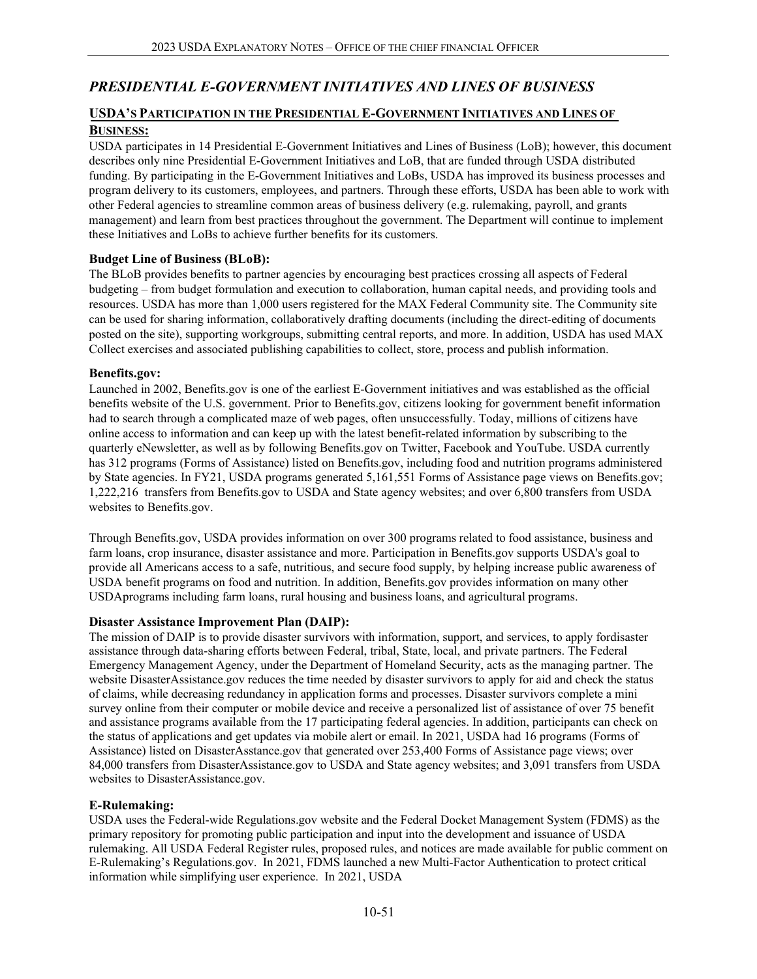# *PRESIDENTIAL E-GOVERNMENT INITIATIVES AND LINES OF BUSINESS*

## **USDA'S PARTICIPATION IN THE PRESIDENTIAL E-GOVERNMENT INITIATIVES AND LINES OF BUSINESS:**

USDA participates in 14 Presidential E-Government Initiatives and Lines of Business (LoB); however, this document describes only nine Presidential E-Government Initiatives and LoB, that are funded through USDA distributed funding. By participating in the E-Government Initiatives and LoBs, USDA has improved its business processes and program delivery to its customers, employees, and partners. Through these efforts, USDA has been able to work with other Federal agencies to streamline common areas of business delivery (e.g. rulemaking, payroll, and grants management) and learn from best practices throughout the government. The Department will continue to implement these Initiatives and LoBs to achieve further benefits for its customers.

#### **Budget Line of Business (BLoB):**

The BLoB provides benefits to partner agencies by encouraging best practices crossing all aspects of Federal budgeting – from budget formulation and execution to collaboration, human capital needs, and providing tools and resources. USDA has more than 1,000 users registered for the MAX Federal Community site. The Community site can be used for sharing information, collaboratively drafting documents (including the direct-editing of documents posted on the site), supporting workgroups, submitting central reports, and more. In addition, USDA has used MAX Collect exercises and associated publishing capabilities to collect, store, process and publish information.

#### **Benefits.gov:**

Launched in 2002, Benefits.gov is one of the earliest E-Government initiatives and was established as the official benefits website of the U.S. government. Prior to Benefits.gov, citizens looking for government benefit information had to search through a complicated maze of web pages, often unsuccessfully. Today, millions of citizens have online access to information and can keep up with the latest benefit-related information by subscribing to the quarterly eNewsletter, as well as by following Benefits.gov on Twitter, Facebook and YouTube. USDA currently has 312 programs (Forms of Assistance) listed on Benefits.gov, including food and nutrition programs administered by State agencies. In FY21, USDA programs generated 5,161,551 Forms of Assistance page views on Benefits.gov; 1,222,216 transfers from Benefits.gov to USDA and State agency websites; and over 6,800 transfers from USDA websites to Benefits.gov.

Through Benefits.gov, USDA provides information on over 300 programs related to food assistance, business and farm loans, crop insurance, disaster assistance and more. Participation in Benefits.gov supports USDA's goal to provide all Americans access to a safe, nutritious, and secure food supply, by helping increase public awareness of USDA benefit programs on food and nutrition. In addition, Benefits.gov provides information on many other USDAprograms including farm loans, rural housing and business loans, and agricultural programs.

#### **Disaster Assistance Improvement Plan (DAIP):**

The mission of DAIP is to provide disaster survivors with information, support, and services, to apply fordisaster assistance through data-sharing efforts between Federal, tribal, State, local, and private partners. The Federal Emergency Management Agency, under the Department of Homeland Security, acts as the managing partner. The website DisasterAssistance.gov reduces the time needed by disaster survivors to apply for aid and check the status of claims, while decreasing redundancy in application forms and processes. Disaster survivors complete a mini survey online from their computer or mobile device and receive a personalized list of assistance of over 75 benefit and assistance programs available from the 17 participating federal agencies. In addition, participants can check on the status of applications and get updates via mobile alert or email. In 2021, USDA had 16 programs (Forms of Assistance) listed on DisasterAsstance.gov that generated over 253,400 Forms of Assistance page views; over 84,000 transfers from DisasterAssistance.gov to USDA and State agency websites; and 3,091 transfers from USDA websites to DisasterAssistance.gov.

#### **E-Rulemaking:**

USDA uses the Federal-wide Regulations.gov website and the Federal Docket Management System (FDMS) as the primary repository for promoting public participation and input into the development and issuance of USDA rulemaking. All USDA Federal Register rules, proposed rules, and notices are made available for public comment on E-Rulemaking's Regulations.gov. In 2021, FDMS launched a new Multi-Factor Authentication to protect critical information while simplifying user experience. In 2021, USDA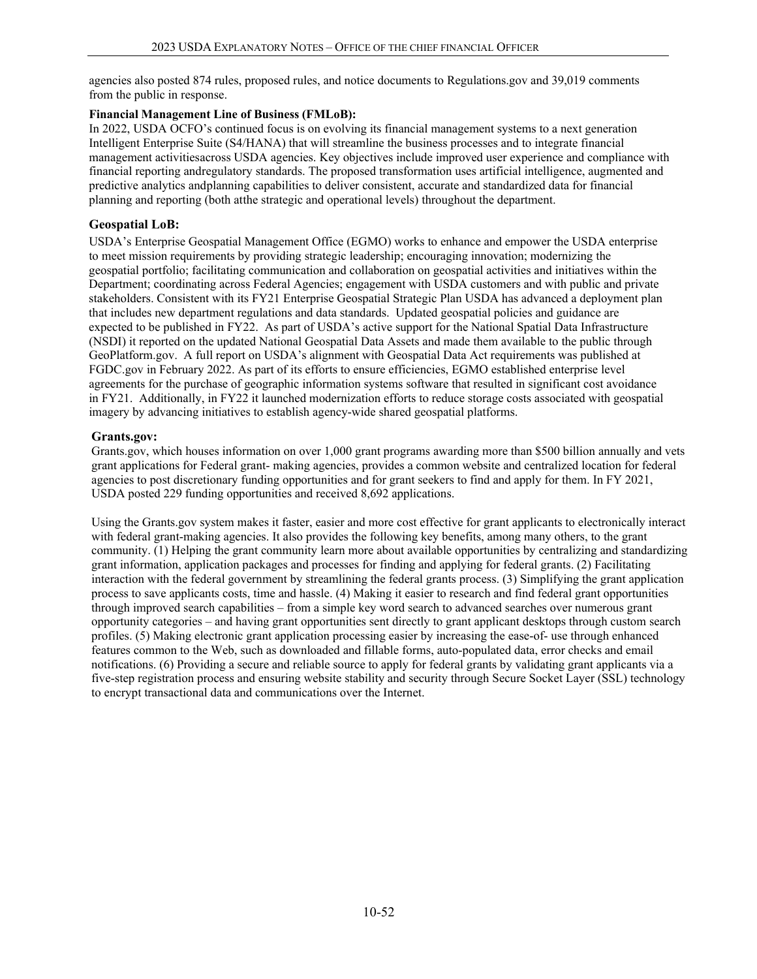agencies also posted 874 rules, proposed rules, and notice documents to Regulations.gov and 39,019 comments from the public in response.

#### **Financial Management Line of Business (FMLoB):**

In 2022, USDA OCFO's continued focus is on evolving its financial management systems to a next generation Intelligent Enterprise Suite (S4/HANA) that will streamline the business processes and to integrate financial management activitiesacross USDA agencies. Key objectives include improved user experience and compliance with financial reporting andregulatory standards. The proposed transformation uses artificial intelligence, augmented and predictive analytics andplanning capabilities to deliver consistent, accurate and standardized data for financial planning and reporting (both atthe strategic and operational levels) throughout the department.

## **Geospatial LoB:**

USDA's Enterprise Geospatial Management Office (EGMO) works to enhance and empower the USDA enterprise to meet mission requirements by providing strategic leadership; encouraging innovation; modernizing the geospatial portfolio; facilitating communication and collaboration on geospatial activities and initiatives within the Department; coordinating across Federal Agencies; engagement with USDA customers and with public and private stakeholders. Consistent with its FY21 Enterprise Geospatial Strategic Plan USDA has advanced a deployment plan that includes new department regulations and data standards. Updated geospatial policies and guidance are expected to be published in FY22. As part of USDA's active support for the National Spatial Data Infrastructure (NSDI) it reported on the updated National Geospatial Data Assets and made them available to the public through GeoPlatform.gov. A full report on USDA's alignment with Geospatial Data Act requirements was published at FGDC.gov in February 2022. As part of its efforts to ensure efficiencies, EGMO established enterprise level agreements for the purchase of geographic information systems software that resulted in significant cost avoidance in FY21. Additionally, in FY22 it launched modernization efforts to reduce storage costs associated with geospatial imagery by advancing initiatives to establish agency-wide shared geospatial platforms.

## **Grants.gov:**

Grants.gov, which houses information on over 1,000 grant programs awarding more than \$500 billion annually and vets grant applications for Federal grant- making agencies, provides a common website and centralized location for federal agencies to post discretionary funding opportunities and for grant seekers to find and apply for them. In FY 2021, USDA posted 229 funding opportunities and received 8,692 applications.

Using the Grants.gov system makes it faster, easier and more cost effective for grant applicants to electronically interact with federal grant-making agencies. It also provides the following key benefits, among many others, to the grant community. (1) Helping the grant community learn more about available opportunities by centralizing and standardizing grant information, application packages and processes for finding and applying for federal grants. (2) Facilitating interaction with the federal government by streamlining the federal grants process. (3) Simplifying the grant application process to save applicants costs, time and hassle. (4) Making it easier to research and find federal grant opportunities through improved search capabilities – from a simple key word search to advanced searches over numerous grant opportunity categories – and having grant opportunities sent directly to grant applicant desktops through custom search profiles. (5) Making electronic grant application processing easier by increasing the ease-of- use through enhanced features common to the Web, such as downloaded and fillable forms, auto-populated data, error checks and email notifications. (6) Providing a secure and reliable source to apply for federal grants by validating grant applicants via a five-step registration process and ensuring website stability and security through Secure Socket Layer (SSL) technology to encrypt transactional data and communications over the Internet.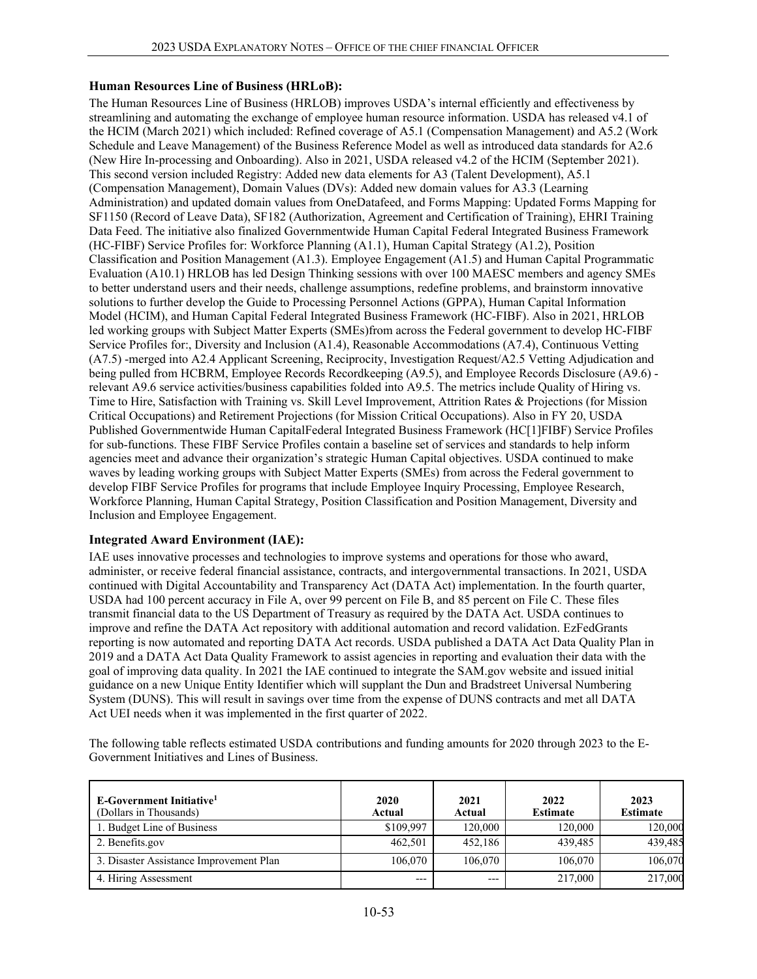## **Human Resources Line of Business (HRLoB):**

The Human Resources Line of Business (HRLOB) improves USDA's internal efficiently and effectiveness by streamlining and automating the exchange of employee human resource information. USDA has released v4.1 of the HCIM (March 2021) which included: Refined coverage of A5.1 (Compensation Management) and A5.2 (Work Schedule and Leave Management) of the Business Reference Model as well as introduced data standards for A2.6 (New Hire In-processing and Onboarding). Also in 2021, USDA released v4.2 of the HCIM (September 2021). This second version included Registry: Added new data elements for A3 (Talent Development), A5.1 (Compensation Management), Domain Values (DVs): Added new domain values for A3.3 (Learning Administration) and updated domain values from OneDatafeed, and Forms Mapping: Updated Forms Mapping for SF1150 (Record of Leave Data), SF182 (Authorization, Agreement and Certification of Training), EHRI Training Data Feed. The initiative also finalized Governmentwide Human Capital Federal Integrated Business Framework (HC-FIBF) Service Profiles for: Workforce Planning (A1.1), Human Capital Strategy (A1.2), Position Classification and Position Management (A1.3). Employee Engagement (A1.5) and Human Capital Programmatic Evaluation (A10.1) HRLOB has led Design Thinking sessions with over 100 MAESC members and agency SMEs to better understand users and their needs, challenge assumptions, redefine problems, and brainstorm innovative solutions to further develop the Guide to Processing Personnel Actions (GPPA), Human Capital Information Model (HCIM), and Human Capital Federal Integrated Business Framework (HC-FIBF). Also in 2021, HRLOB led working groups with Subject Matter Experts (SMEs)from across the Federal government to develop HC-FIBF Service Profiles for:, Diversity and Inclusion (A1.4), Reasonable Accommodations (A7.4), Continuous Vetting (A7.5) -merged into A2.4 Applicant Screening, Reciprocity, Investigation Request/A2.5 Vetting Adjudication and being pulled from HCBRM, Employee Records Recordkeeping (A9.5), and Employee Records Disclosure (A9.6) relevant A9.6 service activities/business capabilities folded into A9.5. The metrics include Quality of Hiring vs. Time to Hire, Satisfaction with Training vs. Skill Level Improvement, Attrition Rates & Projections (for Mission Critical Occupations) and Retirement Projections (for Mission Critical Occupations). Also in FY 20, USDA Published Governmentwide Human CapitalFederal Integrated Business Framework (HC[1]FIBF) Service Profiles for sub-functions. These FIBF Service Profiles contain a baseline set of services and standards to help inform agencies meet and advance their organization's strategic Human Capital objectives. USDA continued to make waves by leading working groups with Subject Matter Experts (SMEs) from across the Federal government to develop FIBF Service Profiles for programs that include Employee Inquiry Processing, Employee Research, Workforce Planning, Human Capital Strategy, Position Classification and Position Management, Diversity and Inclusion and Employee Engagement.

## **Integrated Award Environment (IAE):**

IAE uses innovative processes and technologies to improve systems and operations for those who award, administer, or receive federal financial assistance, contracts, and intergovernmental transactions. In 2021, USDA continued with Digital Accountability and Transparency Act (DATA Act) implementation. In the fourth quarter, USDA had 100 percent accuracy in File A, over 99 percent on File B, and 85 percent on File C. These files transmit financial data to the US Department of Treasury as required by the DATA Act. USDA continues to improve and refine the DATA Act repository with additional automation and record validation. EzFedGrants reporting is now automated and reporting DATA Act records. USDA published a DATA Act Data Quality Plan in 2019 and a DATA Act Data Quality Framework to assist agencies in reporting and evaluation their data with the goal of improving data quality. In 2021 the IAE continued to integrate the SAM.gov website and issued initial guidance on a new Unique Entity Identifier which will supplant the Dun and Bradstreet Universal Numbering System (DUNS). This will result in savings over time from the expense of DUNS contracts and met all DATA Act UEI needs when it was implemented in the first quarter of 2022.

The following table reflects estimated USDA contributions and funding amounts for 2020 through 2023 to the E-Government Initiatives and Lines of Business.

| E-Government Initiative <sup>1</sup><br>(Dollars in Thousands) | 2020<br>Actual | 2021<br>Actual | 2022<br><b>Estimate</b> | 2023<br><b>Estimate</b> |
|----------------------------------------------------------------|----------------|----------------|-------------------------|-------------------------|
| 1. Budget Line of Business                                     | \$109,997      | 120,000        | 120,000                 | 120.000                 |
| 2. Benefits.gov                                                | 462.501        | 452,186        | 439,485                 | 439,485                 |
| 3. Disaster Assistance Improvement Plan                        | 106,070        | 106,070        | 106,070                 | 106,070                 |
| 4. Hiring Assessment                                           | $---$          | $---$          | 217,000                 | 217,000                 |